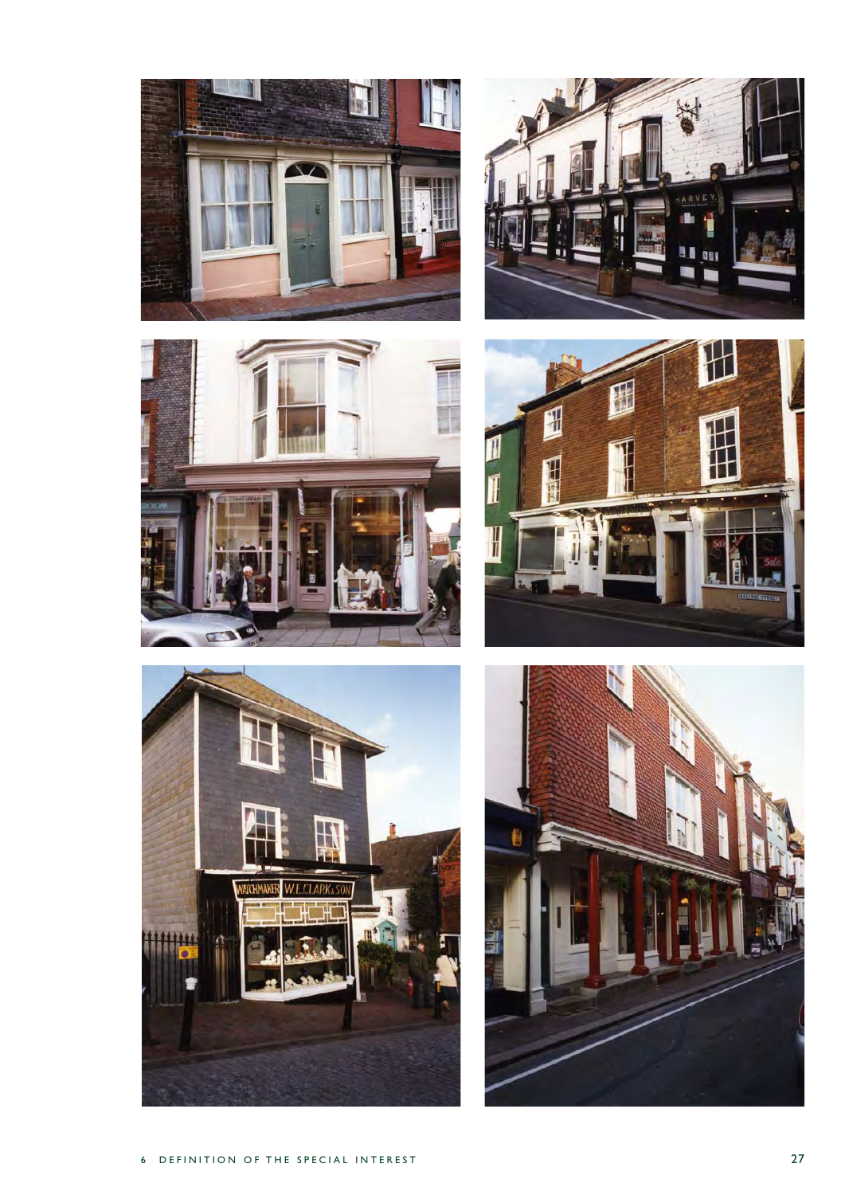









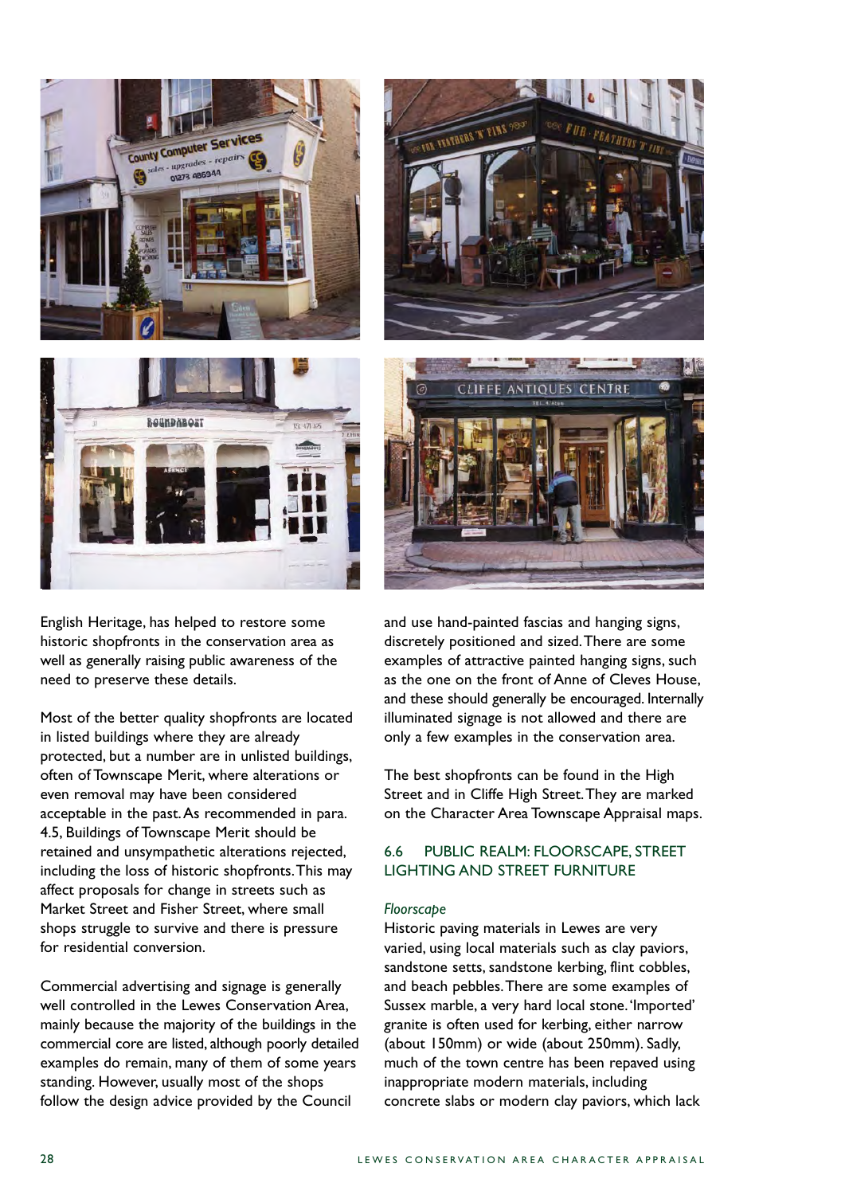

FEATHERS W FINS



English Heritage, has helped to restore some historic shopfronts in the conservation area as well as generally raising public awareness of the need to preserve these details.

Most of the better quality shopfronts are located in listed buildings where they are already protected, but a number are in unlisted buildings, often of Townscape Merit, where alterations or even removal may have been considered acceptable in the past.As recommended in para. 4.5, Buildings of Townscape Merit should be retained and unsympathetic alterations rejected, including the loss of historic shopfronts.This may affect proposals for change in streets such as Market Street and Fisher Street, where small shops struggle to survive and there is pressure for residential conversion.

Commercial advertising and signage is generally well controlled in the Lewes Conservation Area, mainly because the majority of the buildings in the commercial core are listed, although poorly detailed examples do remain, many of them of some years standing. However, usually most of the shops follow the design advice provided by the Council

and use hand-painted fascias and hanging signs, discretely positioned and sized.There are some examples of attractive painted hanging signs, such as the one on the front of Anne of Cleves House, and these should generally be encouraged. Internally illuminated signage is not allowed and there are only a few examples in the conservation area.

The best shopfronts can be found in the High Street and in Cliffe High Street.They are marked on the Character Area Townscape Appraisal maps.

# 6.6 PUBLIC REALM: FLOORSCAPE, STREET LIGHTING AND STREET FURNITURE

## *Floorscape*

Historic paving materials in Lewes are very varied, using local materials such as clay paviors, sandstone setts, sandstone kerbing, flint cobbles, and beach pebbles.There are some examples of Sussex marble, a very hard local stone.'Imported' granite is often used for kerbing, either narrow (about 150mm) or wide (about 250mm). Sadly, much of the town centre has been repaved using inappropriate modern materials, including concrete slabs or modern clay paviors, which lack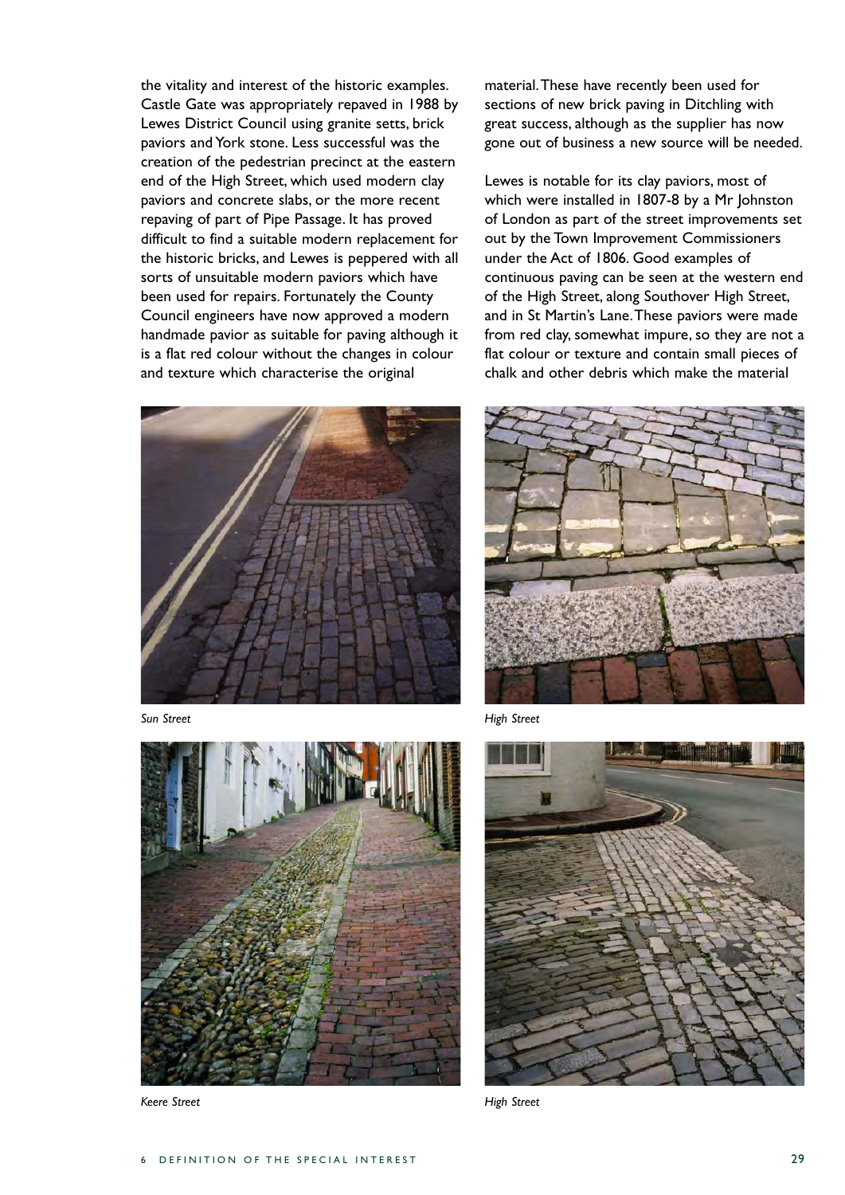the vitality and interest of the historic examples. Castle Gate was appropriately repaved in 1988 by Lewes District Council using granite setts, brick paviors and York stone. Less successful was the creation of the pedestrian precinct at the eastern end of the High Street, which used modern clay paviors and concrete slabs, or the more recent repaving of part of Pipe Passage. It has proved difficult to find a suitable modern replacement for the historic bricks, and Lewes is peppered with all sorts of unsuitable modern paviors which have been used for repairs. Fortunately the County Council engineers have now approved a modern handmade pavior as suitable for paving although it is a flat red colour without the changes in colour and texture which characterise the original

material.These have recently been used for sections of new brick paving in Ditchling with great success, although as the supplier has now gone out of business a new source will be needed.

Lewes is notable for its clay paviors, most of which were installed in 1807-8 by a Mr Johnston of London as part of the street improvements set out by the Town Improvement Commissioners under the Act of 1806. Good examples of continuous paving can be seen at the western end of the High Street, along Southover High Street, and in St Martin's Lane.These paviors were made from red clay, somewhat impure, so they are not a flat colour or texture and contain small pieces of chalk and other debris which make the material







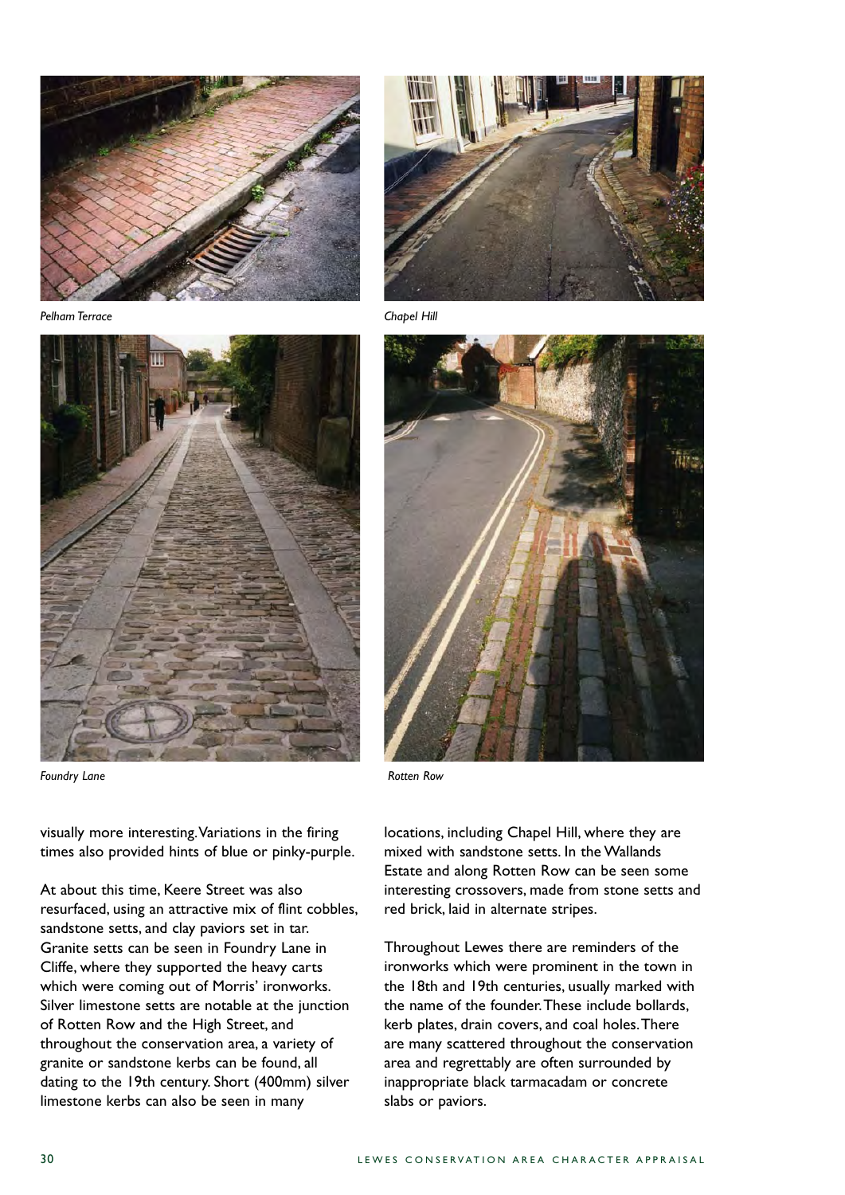





**Foundry Lane** Rotten Row **Rotten Row** 



visually more interesting.Variations in the firing times also provided hints of blue or pinky-purple.

At about this time, Keere Street was also resurfaced, using an attractive mix of flint cobbles, sandstone setts, and clay paviors set in tar. Granite setts can be seen in Foundry Lane in Cliffe, where they supported the heavy carts which were coming out of Morris' ironworks. Silver limestone setts are notable at the junction of Rotten Row and the High Street, and throughout the conservation area, a variety of granite or sandstone kerbs can be found, all dating to the 19th century. Short (400mm) silver limestone kerbs can also be seen in many

locations, including Chapel Hill, where they are mixed with sandstone setts. In the Wallands Estate and along Rotten Row can be seen some interesting crossovers, made from stone setts and red brick, laid in alternate stripes.

Throughout Lewes there are reminders of the ironworks which were prominent in the town in the 18th and 19th centuries, usually marked with the name of the founder.These include bollards, kerb plates, drain covers, and coal holes.There are many scattered throughout the conservation area and regrettably are often surrounded by inappropriate black tarmacadam or concrete slabs or paviors.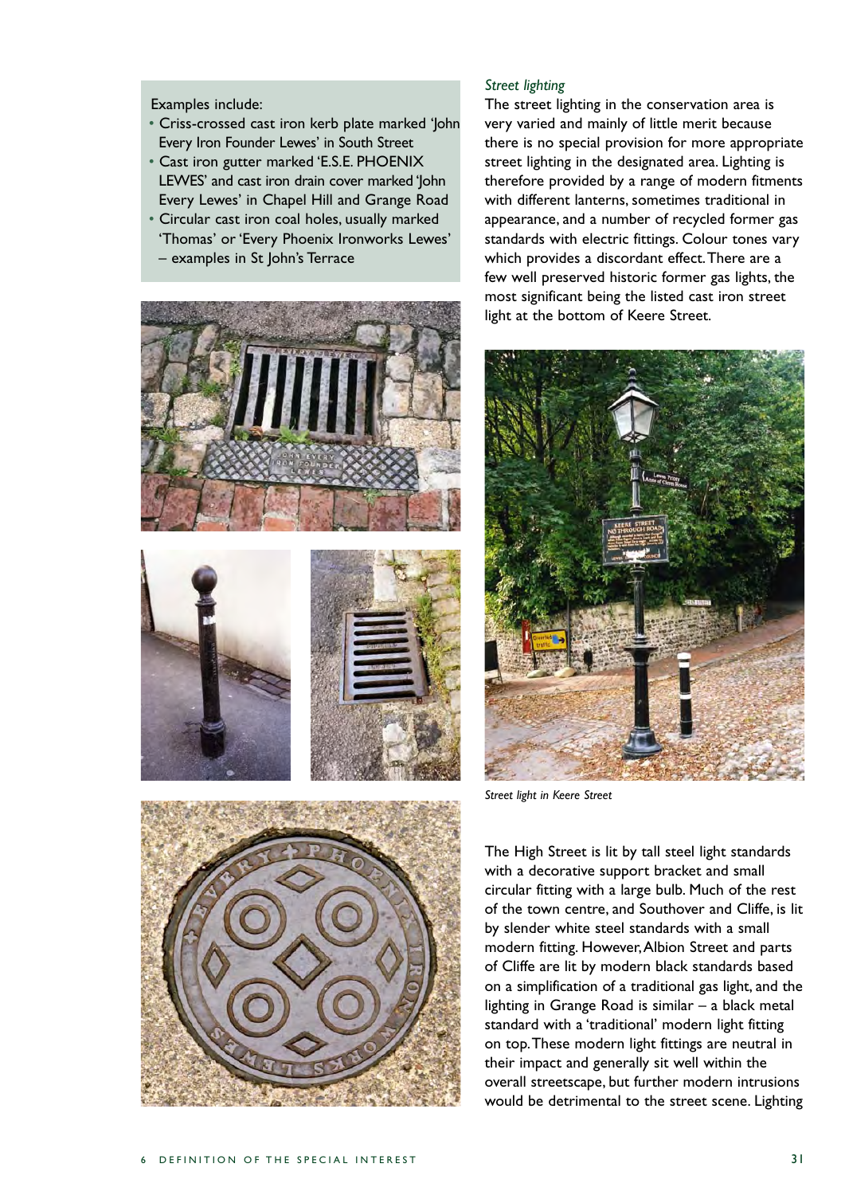- 
- 
- 









### *Street lighting*

Examples include: The street lighting in the conservation area is • Criss-crossed cast iron kerb plate marked 'John very varied and mainly of little merit because Every Iron Founder Lewes' in South Street there is no special provision for more appropriate • Cast iron gutter marked 'E.S.E. PHOENIX street lighting in the designated area. Lighting is LEWES' and cast iron drain cover marked 'John therefore provided by a range of modern fitments Every Lewes' in Chapel Hill and Grange Road with different lanterns, sometimes traditional in • Circular cast iron coal holes, usually marked appearance, and a number of recycled former gas 'Thomas' or 'Every Phoenix Ironworks Lewes' standards with electric fittings. Colour tones vary – examples in St John's Terrace which provides a discordant effect.There are a few well preserved historic former gas lights, the most significant being the listed cast iron street light at the bottom of Keere Street.



*Street light in Keere Street* 

The High Street is lit by tall steel light standards with a decorative support bracket and small circular fitting with a large bulb. Much of the rest of the town centre, and Southover and Cliffe, is lit by slender white steel standards with a small modern fitting. However,Albion Street and parts of Cliffe are lit by modern black standards based on a simplification of a traditional gas light, and the lighting in Grange Road is similar – a black metal standard with a 'traditional' modern light fitting on top.These modern light fittings are neutral in their impact and generally sit well within the overall streetscape, but further modern intrusions would be detrimental to the street scene. Lighting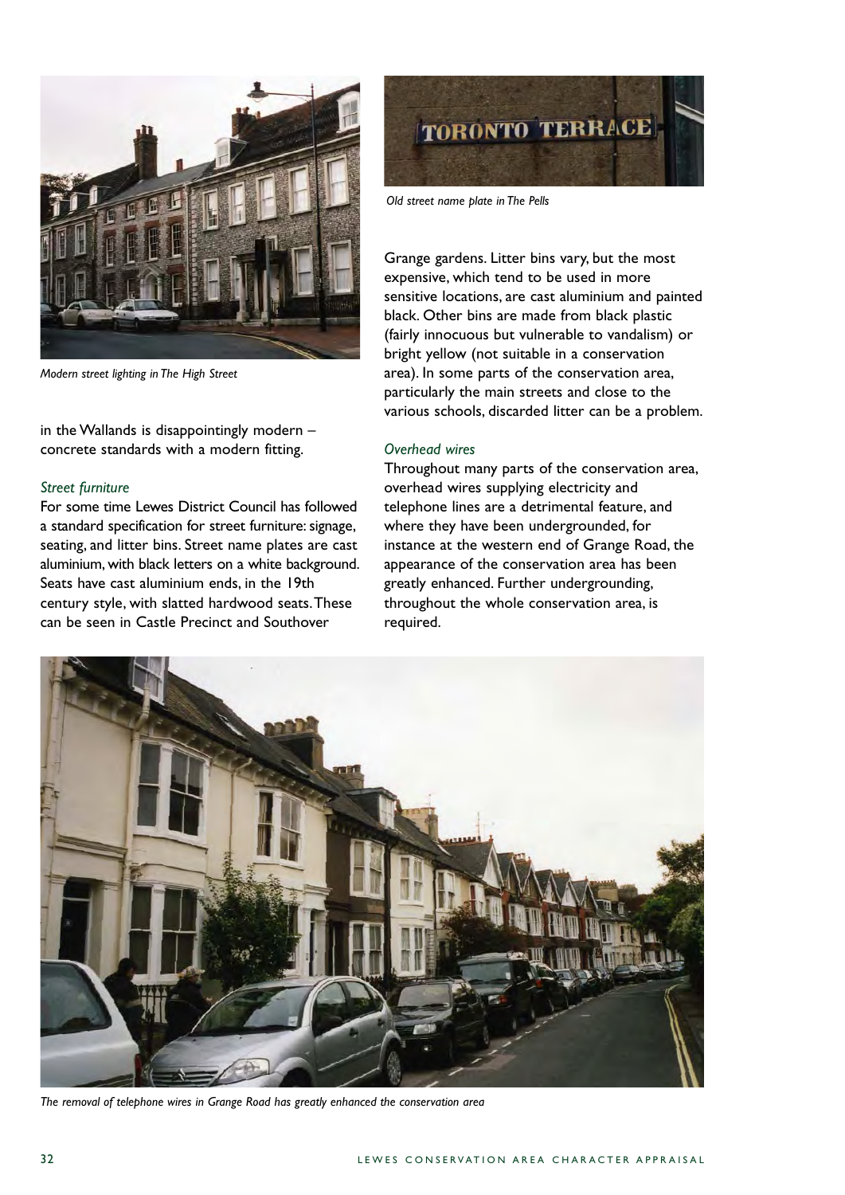

*Modern street lighting in The High Street* 

in the Wallands is disappointingly modern – concrete standards with a modern fitting.

### *Street furniture*

For some time Lewes District Council has followed a standard specification for street furniture: signage, seating, and litter bins. Street name plates are cast aluminium, with black letters on a white background. Seats have cast aluminium ends, in the 19th century style, with slatted hardwood seats.These can be seen in Castle Precinct and Southover



*Old street name plate in The Pells* 

Grange gardens. Litter bins vary, but the most expensive, which tend to be used in more sensitive locations, are cast aluminium and painted black. Other bins are made from black plastic (fairly innocuous but vulnerable to vandalism) or bright yellow (not suitable in a conservation area). In some parts of the conservation area, particularly the main streets and close to the various schools, discarded litter can be a problem.

#### *Overhead wires*

Throughout many parts of the conservation area, overhead wires supplying electricity and telephone lines are a detrimental feature, and where they have been undergrounded, for instance at the western end of Grange Road, the appearance of the conservation area has been greatly enhanced. Further undergrounding, throughout the whole conservation area, is required.



*The removal of telephone wires in Grange Road has greatly enhanced the conservation area*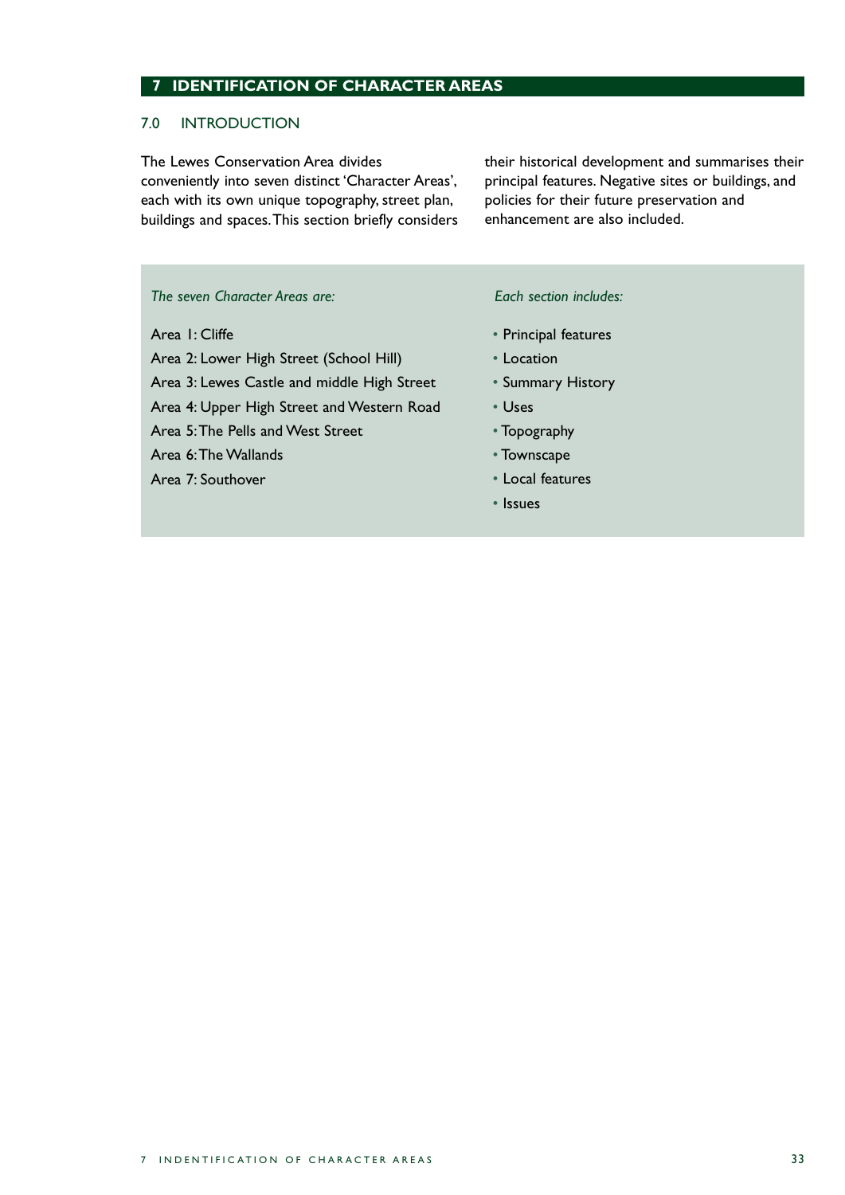# **7 IDENTIFICATION OF CHARACTER AREAS**

### 7.0 INTRODUCTION

The Lewes Conservation Area divides

conveniently into seven distinct 'Character Areas', each with its own unique topography, street plan, buildings and spaces.This section briefly considers their historical development and summarises their principal features. Negative sites or buildings, and policies for their future preservation and enhancement are also included.

*The seven Character Areas are:* 

Area 1: Cliffe

Area 2: Lower High Street (School Hill) Area 3: Lewes Castle and middle High Street Area 4: Upper High Street and Western Road Area 5:The Pells and West Street Area 6:The Wallands Area 7: Southover

#### *Each section includes:*

- Principal features
- Location
- Summary History
- Uses
- Topography
- Townscape
- Local features
- Issues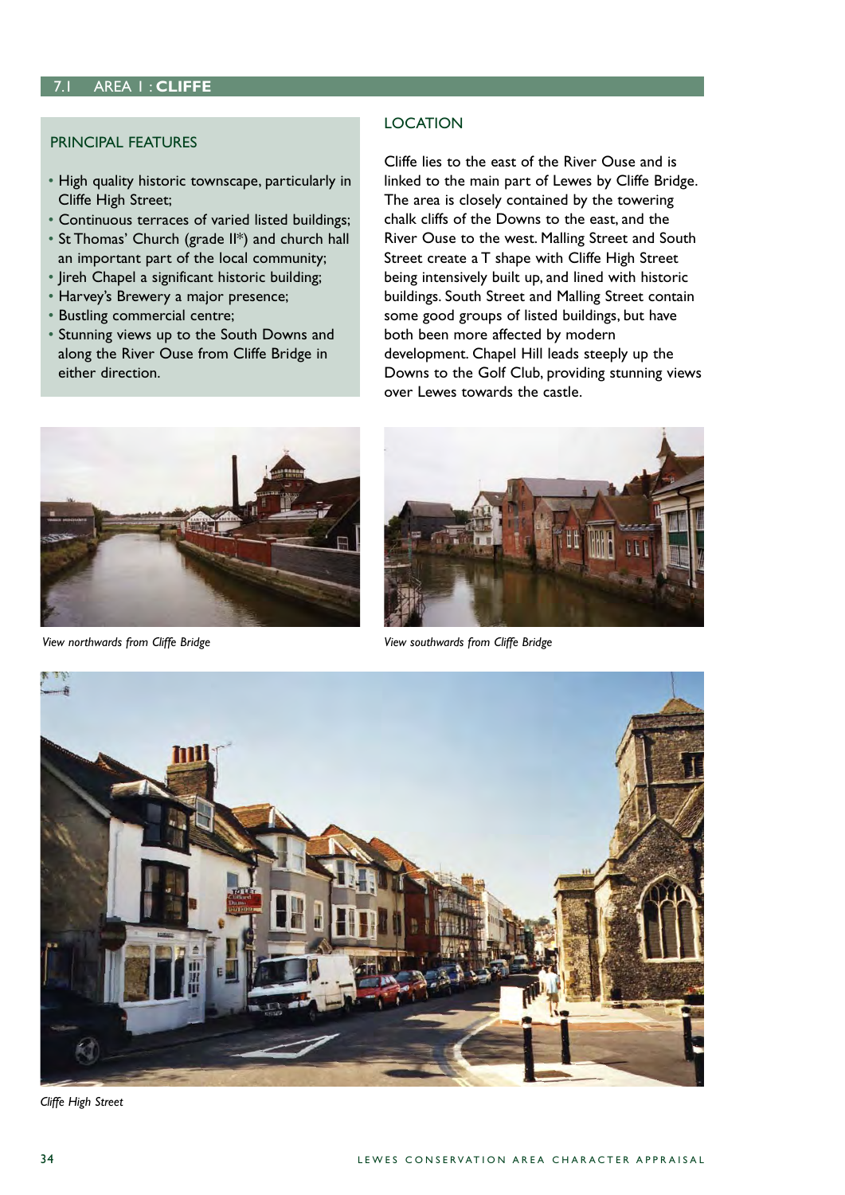#### PRINCIPAL FEATURES

- High quality historic townscape, particularly in Cliffe High Street;
- Continuous terraces of varied listed buildings;
- St Thomas' Church (grade II\*) and church hall an important part of the local community;
- Jireh Chapel a significant historic building;
- Harvey's Brewery a major presence;
- Bustling commercial centre;
- Stunning views up to the South Downs and along the River Ouse from Cliffe Bridge in either direction.

### **LOCATION**

Cliffe lies to the east of the River Ouse and is linked to the main part of Lewes by Cliffe Bridge. The area is closely contained by the towering chalk cliffs of the Downs to the east, and the River Ouse to the west. Malling Street and South Street create a T shape with Cliffe High Street being intensively built up, and lined with historic buildings. South Street and Malling Street contain some good groups of listed buildings, but have both been more affected by modern development. Chapel Hill leads steeply up the Downs to the Golf Club, providing stunning views over Lewes towards the castle.





*View northwards from Cliffe Bridge View southwards from Cliffe Bridge* 



*Cliffe High Street*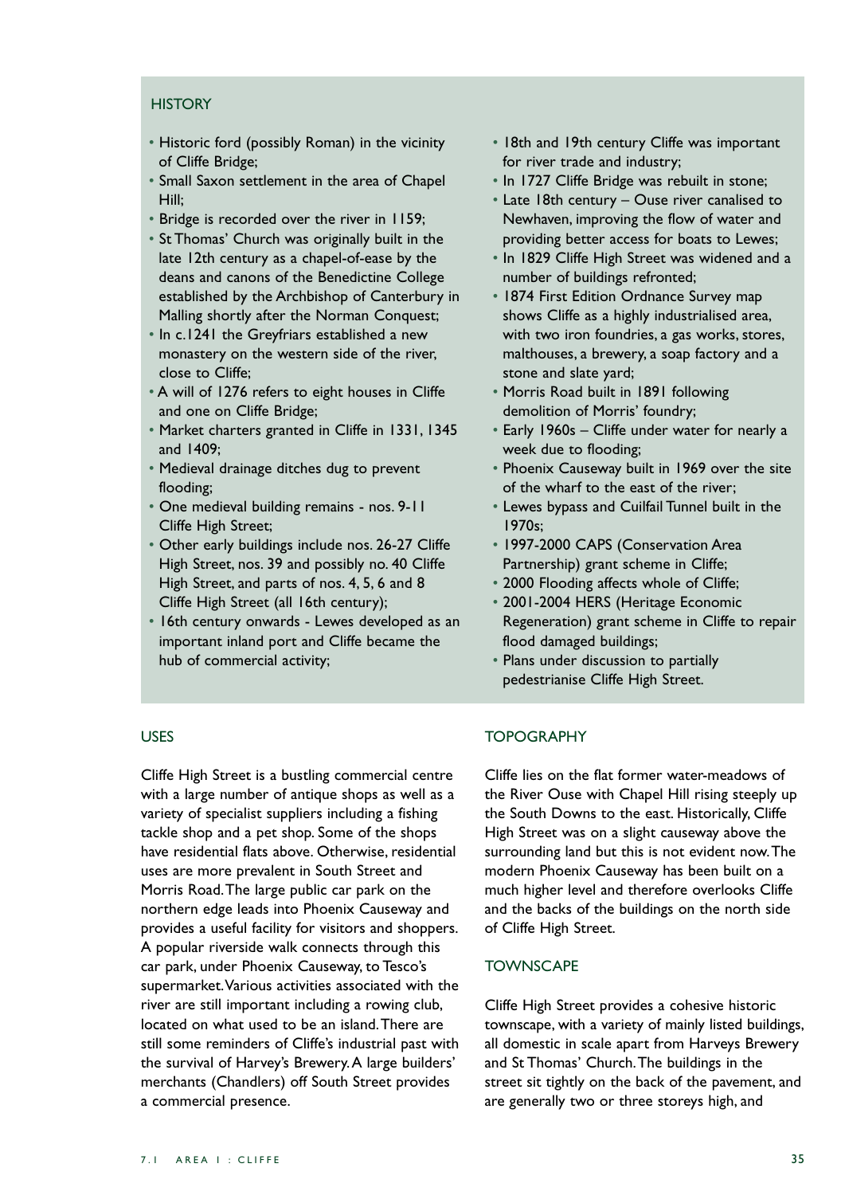## **HISTORY**

- Historic ford (possibly Roman) in the vicinity of Cliffe Bridge;
- Small Saxon settlement in the area of Chapel Hill;
- Bridge is recorded over the river in 1159;
- St Thomas' Church was originally built in the late 12th century as a chapel-of-ease by the deans and canons of the Benedictine College established by the Archbishop of Canterbury in Malling shortly after the Norman Conquest;
- In c.1241 the Greyfriars established a new monastery on the western side of the river, close to Cliffe;
- A will of 1276 refers to eight houses in Cliffe and one on Cliffe Bridge;
- Market charters granted in Cliffe in 1331, 1345 and 1409;
- Medieval drainage ditches dug to prevent flooding;
- One medieval building remains nos. 9-11 Cliffe High Street;
- Other early buildings include nos. 26-27 Cliffe High Street, nos. 39 and possibly no. 40 Cliffe High Street, and parts of nos. 4, 5, 6 and 8 Cliffe High Street (all 16th century);
- 16th century onwards Lewes developed as an important inland port and Cliffe became the hub of commercial activity;
- 18th and 19th century Cliffe was important for river trade and industry;
- In 1727 Cliffe Bridge was rebuilt in stone;
- Late 18th century Ouse river canalised to Newhaven, improving the flow of water and providing better access for boats to Lewes;
- In 1829 Cliffe High Street was widened and a number of buildings refronted;
- 1874 First Edition Ordnance Survey map shows Cliffe as a highly industrialised area, with two iron foundries, a gas works, stores, malthouses, a brewery, a soap factory and a stone and slate yard;
- Morris Road built in 1891 following demolition of Morris' foundry;
- Early 1960s Cliffe under water for nearly a week due to flooding;
- Phoenix Causeway built in 1969 over the site of the wharf to the east of the river;
- Lewes bypass and Cuilfail Tunnel built in the 1970s;
- 1997-2000 CAPS (Conservation Area Partnership) grant scheme in Cliffe;
- 2000 Flooding affects whole of Cliffe;
- 2001-2004 HERS (Heritage Economic Regeneration) grant scheme in Cliffe to repair flood damaged buildings;
- Plans under discussion to partially pedestrianise Cliffe High Street.

### USES

Cliffe High Street is a bustling commercial centre with a large number of antique shops as well as a variety of specialist suppliers including a fishing tackle shop and a pet shop. Some of the shops have residential flats above. Otherwise, residential uses are more prevalent in South Street and Morris Road.The large public car park on the northern edge leads into Phoenix Causeway and provides a useful facility for visitors and shoppers. A popular riverside walk connects through this car park, under Phoenix Causeway, to Tesco's supermarket.Various activities associated with the river are still important including a rowing club, located on what used to be an island.There are still some reminders of Cliffe's industrial past with the survival of Harvey's Brewery.A large builders' merchants (Chandlers) off South Street provides a commercial presence.

## **TOPOGRAPHY**

Cliffe lies on the flat former water-meadows of the River Ouse with Chapel Hill rising steeply up the South Downs to the east. Historically, Cliffe High Street was on a slight causeway above the surrounding land but this is not evident now.The modern Phoenix Causeway has been built on a much higher level and therefore overlooks Cliffe and the backs of the buildings on the north side of Cliffe High Street.

#### **TOWNSCAPE**

Cliffe High Street provides a cohesive historic townscape, with a variety of mainly listed buildings, all domestic in scale apart from Harveys Brewery and St Thomas' Church.The buildings in the street sit tightly on the back of the pavement, and are generally two or three storeys high, and